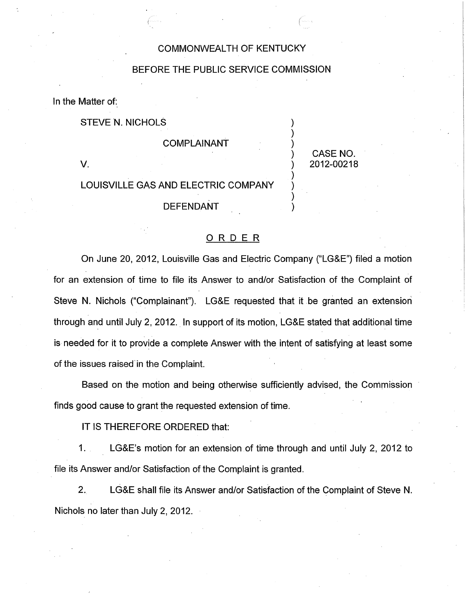## COMMONWEALTH OF KENTUCKY

### BEFORE THE PUBLIC SERVICE COMMISSION

In the Matter of:

STEVE N. NICHOLS

#### **COMPLAINANT**

CASE NO. V. ) 2012-00218

 $)$ 

)

)

# LOUISVILLE GAS AND ELECTRIC COMPANY

**DEFENDANT** 

#### ORDER

On June 20, 2012, Louisville Gas and Electric Company ("LG&E") filed a motion for an extension of time to file its Answer to and/or Satisfaction of the Complaint of Steve N. Nichols ("Complainant"). LG&E requested that it be granted an extension through and until July 2, 2012. In support of its motion, LG&E stated that additional time is needed for it to provide a complete Answer with the intent of satisfying at least some of the issues raised'in the Complaint.

Based on the motion and being otherwise sufficiently advised, the Commission finds good cause to grant the requested extension of time.

IT IS THEREFORE ORDERED that:

1. LG&E's motion for an extension of time through and until July 2, 2012 to file its Answer and/or Satisfaction of the Complaint is granted.

2. LG&E shall file its Answer and/or Satisfaction of the Complaint of Steve N. Nichols no later than July 2, 2012.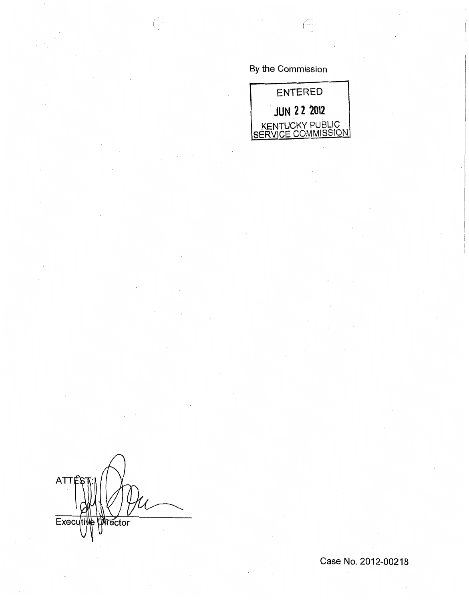By the Commission



**ATT** Execu ector

Case No. 2012-00218